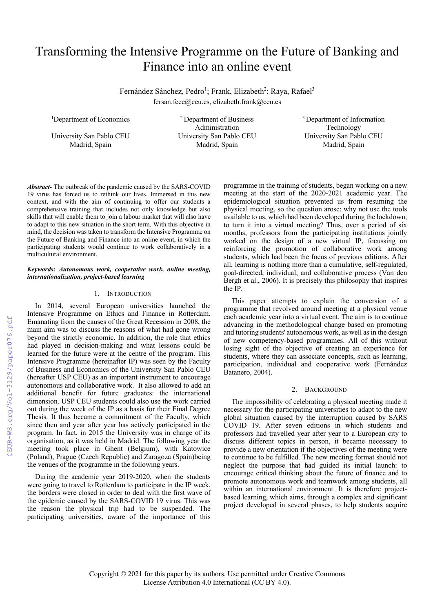# Transforming the Intensive Programme on the Future of Banking and Finance into an online event

Fernández Sánchez, Pedro<sup>1</sup>; Frank, Elizabeth<sup>2</sup>; Raya, Rafael<sup>3</sup> fersan.fcee@ceu.es, elizabeth.frank@ceu.es

<sup>1</sup>Department of Economics <sup>2</sup> Department of Business Administration University San Pablo CEU University San Pablo CEU University San Pablo CEU Madrid, Spain Madrid, Spain Madrid, Spain

<sup>3</sup> Department of Information Technology

*Abstract*- The outbreak of the pandemic caused by the SARS-COVID 19 virus has forced us to rethink our lives. Immersed in this new context, and with the aim of continuing to offer our students a comprehensive training that includes not only knowledge but also skills that will enable them to join a labour market that will also have to adapt to this new situation in the short term. With this objective in mind, the decision was taken to transform the Intensive Programme on the Future of Banking and Finance into an online event, in which the participating students would continue to work collaboratively in a multicultural environment.

#### *Keywords: Autonomous work, cooperative work, online meeting, internationalization, project-based learning*

## 1. INTRODUCTION

In 2014, several European universities launched the Intensive Programme on Ethics and Finance in Rotterdam. Emanating from the causes of the Great Recession in 2008, the main aim was to discuss the reasons of what had gone wrong beyond the strictly economic. In addition, the role that ethics had played in decision-making and what lessons could be learned for the future were at the centre of the program. This Intensive Programme (hereinafter IP) was seen by the Faculty of Business and Economics of the University San Pablo CEU (hereafter USP CEU) as an important instrument to encourage autonomous and collaborative work. It also allowed to add an additional benefit for future graduates: the international dimension. USP CEU students could also use the work carried out during the week of the IP as a basis for their Final Degree Thesis. It thus became a commitment of the Faculty, which since then and year after year has actively participated in the program. In fact, in 2015 the University was in charge of its organisation, as it was held in Madrid. The following year the meeting took place in Ghent (Belgium), with Katowice (Poland), Prague (Czech Republic) and Zaragoza (Spain)being the venues of the programme in the following years.

During the academic year 2019-2020, when the students were going to travel to Rotterdam to participate in the IP week, the borders were closed in order to deal with the first wave of the epidemic caused by the SARS-COVID 19 virus. This was the reason the physical trip had to be suspended. The participating universities, aware of the importance of this

programme in the training of students, began working on a new meeting at the start of the 2020-2021 academic year. The epidemiological situation prevented us from resuming the physical meeting, so the question arose: why not use the tools available to us, which had been developed during the lockdown, to turn it into a virtual meeting? Thus, over a period of six months, professors from the participating institutions jointly worked on the design of a new virtual IP, focussing on reinforcing the promotion of collaborative work among students, which had been the focus of previous editions. After all, learning is nothing more than a cumulative, self-regulated, goal-directed, individual, and collaborative process (Van den Bergh et al., 2006). It is precisely this philosophy that inspires the IP.

This paper attempts to explain the conversion of a programme that revolved around meeting at a physical venue each academic year into a virtual event. The aim is to continue advancing in the methodological change based on promoting and tutoring students' autonomous work, as well as in the design of new competency-based programmes. All of this without losing sight of the objective of creating an experience for students, where they can associate concepts, such as learning, participation, individual and cooperative work (Fernández Batanero, 2004).

## 2. BACKGROUND

The impossibility of celebrating a physical meeting made it necessary for the participating universities to adapt to the new global situation caused by the interruption caused by SARS COVID 19. After seven editions in which students and professors had travelled year after year to a European city to discuss different topics in person, it became necessary to provide a new orientation if the objectives of the meeting were to continue to be fulfilled. The new meeting format should not neglect the purpose that had guided its initial launch: to encourage critical thinking about the future of finance and to promote autonomous work and teamwork among students, all within an international environment. It is therefore projectbased learning, which aims, through a complex and significant project developed in several phases, to help students acquire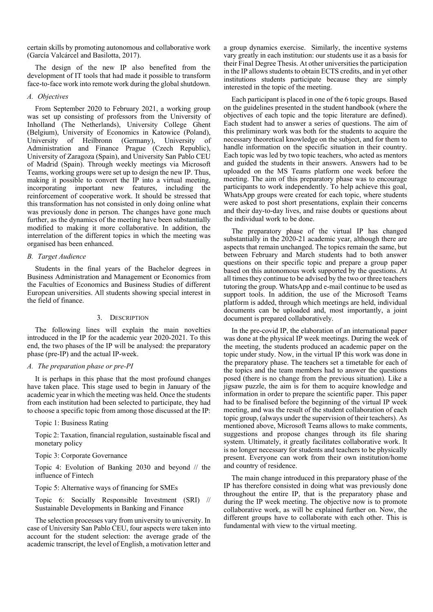certain skills by promoting autonomous and collaborative work (García Valcárcel and Basilotta, 2017).

The design of the new IP also benefited from the development of IT tools that had made it possible to transform face-to-face work into remote work during the global shutdown.

## *A. Objectives*

From September 2020 to February 2021, a working group was set up consisting of professors from the University of Inholland (The Netherlands), University College Ghent (Belgium), University of Economics in Katowice (Poland), University of Heilbronn (Germany), University of Administration and Finance Prague (Czech Republic), University of Zaragoza (Spain), and University San Pablo CEU of Madrid (Spain). Through weekly meetings via Microsoft Teams, working groups were set up to design the new IP. Thus, making it possible to convert the IP into a virtual meeting, incorporating important new features, including the reinforcement of cooperative work. It should be stressed that this transformation has not consisted in only doing online what was previously done in person. The changes have gone much further, as the dynamics of the meeting have been substantially modified to making it more collaborative. In addition, the interrelation of the different topics in which the meeting was organised has been enhanced.

## *B. Target Audience*

Students in the final years of the Bachelor degrees in Business Administration and Management or Economics from the Faculties of Economics and Business Studies of different European universities. All students showing special interest in the field of finance.

# 3. DESCRIPTION

The following lines will explain the main novelties introduced in the IP for the academic year 2020-2021. To this end, the two phases of the IP will be analysed: the preparatory phase (pre-IP) and the actual IP-week.

# *A. The preparation phase or pre-PI*

It is perhaps in this phase that the most profound changes have taken place. This stage used to begin in January of the academic year in which the meeting was held. Once the students from each institution had been selected to participate, they had to choose a specific topic from among those discussed at the IP:

# Topic 1: Business Rating

Topic 2: Taxation, financial regulation, sustainable fiscal and monetary policy

# Topic 3: Corporate Governance

Topic 4: Evolution of Banking 2030 and beyond // the influence of Fintech

# Topic 5: Alternative ways of financing for SMEs

Topic 6: Socially Responsible Investment (SRI) // Sustainable Developments in Banking and Finance

The selection processes vary from university to university. In case of University San Pablo CEU, four aspects were taken into account for the student selection: the average grade of the academic transcript, the level of English, a motivation letter and a group dynamics exercise. Similarly, the incentive systems vary greatly in each institution: our students use it as a basis for their Final Degree Thesis. At other universities the participation in the IP allows students to obtain ECTS credits, and in yet other institutions students participate because they are simply interested in the topic of the meeting.

Each participant is placed in one of the 6 topic groups. Based on the guidelines presented in the student handbook (where the objectives of each topic and the topic literature are defined). Each student had to answer a series of questions. The aim of this preliminary work was both for the students to acquire the necessary theoretical knowledge on the subject, and for them to handle information on the specific situation in their country. Each topic was led by two topic teachers, who acted as mentors and guided the students in their answers. Answers had to be uploaded on the MS Teams platform one week before the meeting. The aim of this preparatory phase was to encourage participants to work independently. To help achieve this goal, WhatsApp groups were created for each topic, where students were asked to post short presentations, explain their concerns and their day-to-day lives, and raise doubts or questions about the individual work to be done.

The preparatory phase of the virtual IP has changed substantially in the 2020-21 academic year, although there are aspects that remain unchanged. The topics remain the same, but between February and March students had to both answer questions on their specific topic and prepare a group paper based on this autonomous work supported by the questions. At all times they continue to be advised by the two or three teachers tutoring the group. WhatsApp and e-mail continue to be used as support tools. In addition, the use of the Microsoft Teams platform is added, through which meetings are held, individual documents can be uploaded and, most importantly, a joint document is prepared collaboratively.

In the pre-covid IP, the elaboration of an international paper was done at the physical IP week meetings. During the week of the meeting, the students produced an academic paper on the topic under study. Now, in the virtual IP this work was done in the preparatory phase. The teachers set a timetable for each of the topics and the team members had to answer the questions posed (there is no change from the previous situation). Like a jigsaw puzzle, the aim is for them to acquire knowledge and information in order to prepare the scientific paper. This paper had to be finalised before the beginning of the virtual IP week meeting, and was the result of the student collaboration of each topic group, (always under the supervision of their teachers). As mentioned above, Microsoft Teams allows to make comments, suggestions and propose changes through its file sharing system. Ultimately, it greatly facilitates collaborative work. It is no longer necessary for students and teachers to be physically present. Everyone can work from their own institution/home and country of residence.

The main change introduced in this preparatory phase of the IP has therefore consisted in doing what was previously done throughout the entire IP, that is the preparatory phase and during the IP week meeting. The objective now is to promote collaborative work, as will be explained further on. Now, the different groups have to collaborate with each other. This is fundamental with view to the virtual meeting.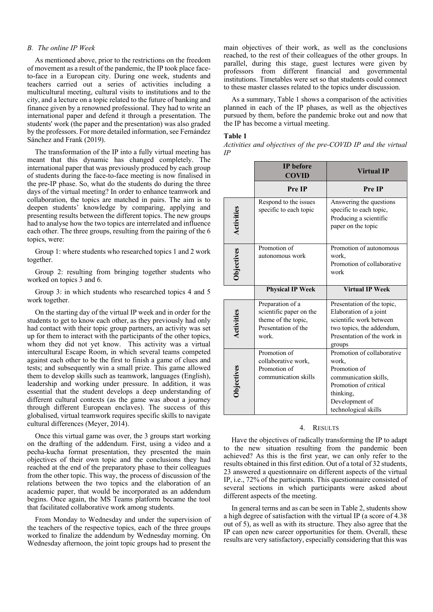#### *B. The online IP Week*

As mentioned above, prior to the restrictions on the freedom of movement as a result of the pandemic, the IP took place faceto-face in a European city. During one week, students and teachers carried out a series of activities including a multicultural meeting, cultural visits to institutions and to the city, and a lecture on a topic related to the future of banking and finance given by a renowned professional. They had to write an international paper and defend it through a presentation. The students' work (the paper and the presentation) was also graded by the professors. For more detailed information, see Fernández Sánchez and Frank (2019).

The transformation of the IP into a fully virtual meeting has meant that this dynamic has changed completely. The international paper that was previously produced by each group of students during the face-to-face meeting is now finalised in the pre-IP phase. So, what do the students do during the three days of the virtual meeting? In order to enhance teamwork and collaboration, the topics are matched in pairs. The aim is to deepen students' knowledge by comparing, applying and presenting results between the different topics. The new groups had to analyse how the two topics are interrelated and influence each other. The three groups, resulting from the pairing of the 6 topics, were:

Group 1: where students who researched topics 1 and 2 work together.

Group 2: resulting from bringing together students who worked on topics 3 and 6.

Group 3: in which students who researched topics 4 and 5 work together.

On the starting day of the virtual IP week and in order for the students to get to know each other, as they previously had only had contact with their topic group partners, an activity was set up for them to interact with the participants of the other topics, whom they did not yet know. This activity was a virtual intercultural Escape Room, in which several teams competed against each other to be the first to finish a game of clues and tests; and subsequently win a small prize. This game allowed them to develop skills such as teamwork, languages (English), leadership and working under pressure. In addition, it was essential that the student develops a deep understanding of different cultural contexts (as the game was about a journey through different European enclaves). The success of this globalised, virtual teamwork requires specific skills to navigate cultural differences (Meyer, 2014).

Once this virtual game was over, the 3 groups start working on the drafting of the addendum. First, using a video and a pecha-kucha format presentation, they presented the main objectives of their own topic and the conclusions they had reached at the end of the preparatory phase to their colleagues from the other topic. This way, the process of discussion of the relations between the two topics and the elaboration of an academic paper, that would be incorporated as an addendum begins. Once again, the MS Teams platform became the tool that facilitated collaborative work among students.

From Monday to Wednesday and under the supervision of the teachers of the respective topics, each of the three groups worked to finalize the addendum by Wednesday morning. On Wednesday afternoon, the joint topic groups had to present the main objectives of their work, as well as the conclusions reached, to the rest of their colleagues of the other groups. In parallel, during this stage, guest lectures were given by professors from different financial and governmental institutions. Timetables were set so that students could connect to these master classes related to the topics under discussion.

As a summary, Table 1 shows a comparison of the activities planned in each of the IP phases, as well as the objectives pursued by them, before the pandemic broke out and now that the IP has become a virtual meeting.

#### **Table 1**

*Activities and objectives of the pre-COVID IP and the virtual IP*

|                   | <b>IP</b> before<br><b>COVID</b>                                                                   | <b>Virtual IP</b>                                                                                                                                            |
|-------------------|----------------------------------------------------------------------------------------------------|--------------------------------------------------------------------------------------------------------------------------------------------------------------|
|                   | Pre IP                                                                                             | Pre IP                                                                                                                                                       |
| Activities        | Respond to the issues<br>specific to each topic                                                    | Answering the questions<br>specific to each topic,<br>Producing a scientific<br>paper on the topic                                                           |
| <b>Objectives</b> | Promotion of<br>autonomous work                                                                    | Promotion of autonomous<br>work,<br>Promotion of collaborative<br>work                                                                                       |
|                   | <b>Physical IP Week</b>                                                                            | Virtual IP Week                                                                                                                                              |
| Activities        | Preparation of a<br>scientific paper on the<br>theme of the topic,<br>Presentation of the<br>work. | Presentation of the topic,<br>Elaboration of a joint<br>scientific work between<br>two topics, the addendum,<br>Presentation of the work in<br>groups        |
| <b>Dijectives</b> | Promotion of<br>collaborative work,<br>Promotion of<br>communication skills                        | Promotion of collaborative<br>work,<br>Promotion of<br>communication skills,<br>Promotion of critical<br>thinking,<br>Development of<br>technological skills |

#### 4. RESULTS

Have the objectives of radically transforming the IP to adapt to the new situation resulting from the pandemic been achieved? As this is the first year, we can only refer to the results obtained in this first edition. Out of a total of 32 students, 23 answered a questionnaire on different aspects of the virtual IP, i.e., 72% of the participants. This questionnaire consisted of several sections in which participants were asked about different aspects of the meeting.

In general terms and as can be seen in Table 2, students show a high degree of satisfaction with the virtual IP (a score of 4.38 out of 5), as well as with its structure. They also agree that the IP can open new career opportunities for them. Overall, these results are very satisfactory, especially considering that this was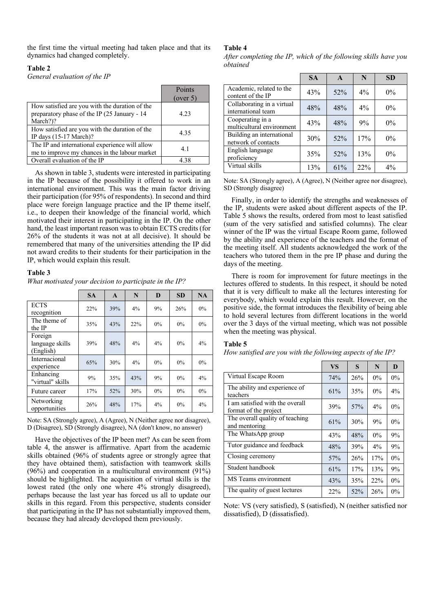the first time the virtual meeting had taken place and that its dynamics had changed completely.

## **Table 2**

*General evaluation of the IP*

|                                                | Points   |
|------------------------------------------------|----------|
|                                                | (over 5) |
| How satisfied are you with the duration of the |          |
| preparatory phase of the IP (25 January - 14)  | 4.23     |
| March?)?                                       |          |
| How satisfied are you with the duration of the | 4.35     |
| IP days $(15-17 \text{ March})$ ?              |          |
| The IP and international experience will allow | 4.1      |
| me to improve my chances in the labour market  |          |
| Overall evaluation of the IP                   | 4.38     |

As shown in table 3, students were interested in participating in the IP because of the possibility it offered to work in an international environment. This was the main factor driving their participation (for 95% of respondents). In second and third place were foreign language practice and the IP theme itself, i.e., to deepen their knowledge of the financial world, which motivated their interest in participating in the IP. On the other hand, the least important reason was to obtain ECTS credits (for 26% of the students it was not at all decisive). It should be remembered that many of the universities attending the IP did not award credits to their students for their participation in the IP, which would explain this result.

# **Table 3**

*What motivated your decision to participate in the IP?*

|                                         | <b>SA</b> | $\mathbf{A}$ | N     | D     | <b>SD</b> | NA    |
|-----------------------------------------|-----------|--------------|-------|-------|-----------|-------|
| <b>ECTS</b><br>recognition              | 22%       | 39%          | 4%    | 9%    | 26%       | $0\%$ |
| The theme of<br>the IP                  | 35%       | 43%          | 22%   | $0\%$ | $0\%$     | $0\%$ |
| Foreign<br>language skills<br>(English) | 39%       | 48%          | 4%    | $4\%$ | $0\%$     | 4%    |
| Internacional<br>experience             | 65%       | 30%          | $4\%$ | $0\%$ | $0\%$     | $0\%$ |
| Enhancing<br>"virtual" skills           | 9%        | 35%          | 43%   | 9%    | $0\%$     | 4%    |
| Future career                           | 17%       | 52%          | 30%   | $0\%$ | $0\%$     | $0\%$ |
| Networking<br>opportunities             | 26%       | 48%          | 17%   | $4\%$ | $0\%$     | $4\%$ |

Note: SA (Strongly agree), A (Agree), N (Neither agree nor disagree), D (Disagree), SD (Strongly disagree), NA (don't know, no answer)

Have the objectives of the IP been met? As can be seen from table 4, the answer is affirmative. Apart from the academic skills obtained (96% of students agree or strongly agree that they have obtained them), satisfaction with teamwork skills (96%) and cooperation in a multicultural environment (91%) should be highlighted. The acquisition of virtual skills is the lowest rated (the only one where  $4\%$  strongly disagreed), perhaps because the last year has forced us all to update our skills in this regard. From this perspective, students consider that participating in the IP has not substantially improved them, because they had already developed them previously.

## **Table 4**

*After completing the IP, which of the following skills have you obtained*

|                                                  | <b>SA</b> | $\mathbf{A}$ | N     | <b>SD</b> |
|--------------------------------------------------|-----------|--------------|-------|-----------|
| Academic, related to the<br>content of the IP    | 43%       | $52\%$       | $4\%$ | $0\%$     |
| Collaborating in a virtual<br>international team | 48%       | 48%          | $4\%$ | $0\%$     |
| Cooperating in a<br>multicultural environment    | 43%       | 48%          | 9%    | $0\%$     |
| Building an international<br>network of contacts | 30%       | 52%          | 17%   | $0\%$     |
| English language<br>proficiency                  | 35%       | 52%          | 13%   | $0\%$     |
| Virtual skills                                   | 13%       | 61%          | 22%   | $4\%$     |

Note: SA (Strongly agree), A (Agree), N (Neither agree nor disagree), SD (Strongly disagree)

Finally, in order to identify the strengths and weaknesses of the IP, students were asked about different aspects of the IP. Table 5 shows the results, ordered from most to least satisfied (sum of the very satisfied and satisfied columns). The clear winner of the IP was the virtual Escape Room game, followed by the ability and experience of the teachers and the format of the meeting itself. All students acknowledged the work of the teachers who tutored them in the pre IP phase and during the days of the meeting.

There is room for improvement for future meetings in the lectures offered to students. In this respect, it should be noted that it is very difficult to make all the lectures interesting for everybody, which would explain this result. However, on the positive side, the format introduces the flexibility of being able to hold several lectures from different locations in the world over the 3 days of the virtual meeting, which was not possible when the meeting was physical.

## **Table 5**

*How satisfied are you with the following aspects of the IP?*

|                                                          | <b>VS</b> | S   | N     | D     |
|----------------------------------------------------------|-----------|-----|-------|-------|
| Virtual Escape Room                                      | 74%       | 26% | $0\%$ | $0\%$ |
| The ability and experience of<br>teachers                | 61%       | 35% | $0\%$ | $4\%$ |
| I am satisfied with the overall<br>format of the project | 39%       | 57% | $4\%$ | $0\%$ |
| The overall quality of teaching<br>and mentoring         | 61%       | 30% | 9%    | $0\%$ |
| The WhatsApp group                                       | 43%       | 48% | $0\%$ | 9%    |
| Tutor guidance and feedback                              | 48%       | 39% | $4\%$ | 9%    |
| Closing ceremony                                         | 57%       | 26% | 17%   | $0\%$ |
| Student handbook                                         | 61%       | 17% | 13%   | 9%    |
| MS Teams environment                                     | 43%       | 35% | 22%   | $0\%$ |
| The quality of guest lectures                            | 22%       | 52% | 26%   | $0\%$ |

Note: VS (very satisfied), S (satisfied), N (neither satisfied nor dissatisfied), D (dissatisfied).